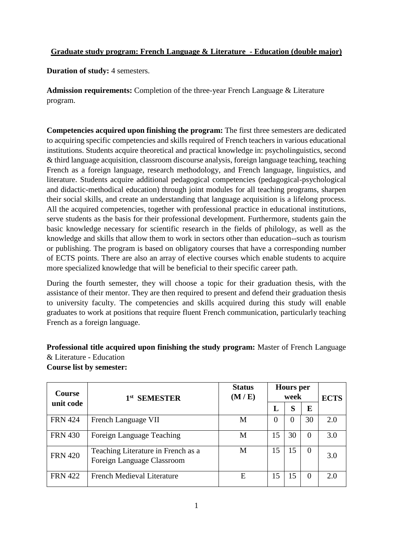## **Graduate study program: French Language & Literature - Education (double major)**

**Duration of study:** 4 semesters.

**Admission requirements:** Completion of the three-year French Language & Literature program.

**Competencies acquired upon finishing the program:** The first three semesters are dedicated to acquiring specific competencies and skills required of French teachers in various educational institutions. Students acquire theoretical and practical knowledge in: psycholinguistics, second & third language acquisition, classroom discourse analysis, foreign language teaching, teaching French as a foreign language, research methodology, and French language, linguistics, and literature. Students acquire additional pedagogical competencies (pedagogical-psychological and didactic-methodical education) through joint modules for all teaching programs, sharpen their social skills, and create an understanding that language acquisition is a lifelong process. All the acquired competencies, together with professional practice in educational institutions, serve students as the basis for their professional development. Furthermore, students gain the basic knowledge necessary for scientific research in the fields of philology, as well as the knowledge and skills that allow them to work in sectors other than education--such as tourism or publishing. The program is based on obligatory courses that have a corresponding number of ECTS points. There are also an array of elective courses which enable students to acquire more specialized knowledge that will be beneficial to their specific career path.

During the fourth semester, they will choose a topic for their graduation thesis, with the assistance of their mentor. They are then required to present and defend their graduation thesis to university faculty. The competencies and skills acquired during this study will enable graduates to work at positions that require fluent French communication, particularly teaching French as a foreign language.

**Professional title acquired upon finishing the study program:** Master of French Language & Literature - Education

| <b>Course list by semester:</b> |  |  |
|---------------------------------|--|--|
|---------------------------------|--|--|

| <b>Course</b>  | <b>SEMESTER</b><br>1st                                           | <b>Status</b><br>(M / E) | <b>Hours</b> per<br>week |    | <b>ECTS</b> |     |
|----------------|------------------------------------------------------------------|--------------------------|--------------------------|----|-------------|-----|
| unit code      |                                                                  | L                        | S                        | E  |             |     |
| <b>FRN 424</b> | French Language VII                                              | М                        | O                        | 0  | 30          | 2.0 |
| <b>FRN 430</b> | Foreign Language Teaching                                        | M                        | 15                       | 30 | $\Omega$    | 3.0 |
| <b>FRN 420</b> | Teaching Literature in French as a<br>Foreign Language Classroom | М                        | 15                       | 15 | $\Omega$    | 3.0 |
| <b>FRN 422</b> | French Medieval Literature                                       | E                        | 15                       |    | $\Omega$    | 20  |